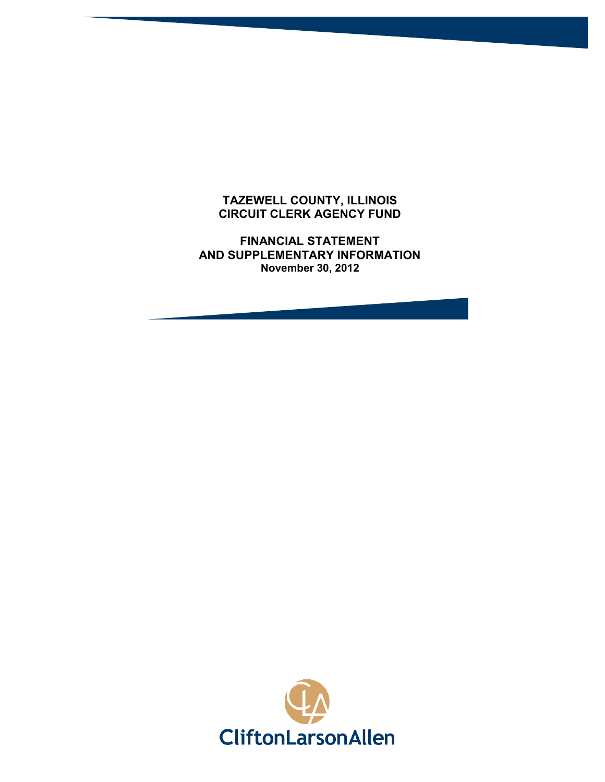# **TAZEWELL COUNTY, ILLINOIS CIRCUIT CLERK AGENCY FUND**

**FINANCIAL STATEMENT AND SUPPLEMENTARY INFORMATION November 30, 2012**

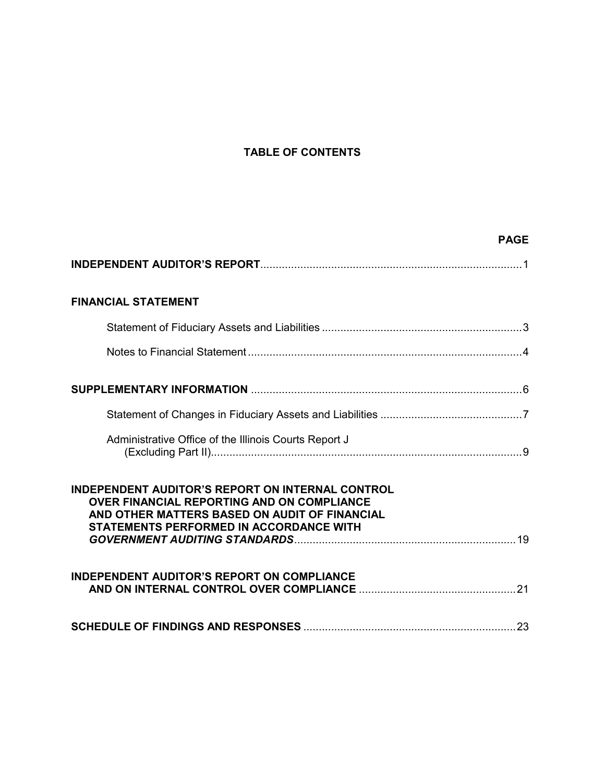# **TABLE OF CONTENTS**

|                                                                                                                                                                                                                 | <b>PAGE</b> |
|-----------------------------------------------------------------------------------------------------------------------------------------------------------------------------------------------------------------|-------------|
|                                                                                                                                                                                                                 |             |
| <b>FINANCIAL STATEMENT</b>                                                                                                                                                                                      |             |
|                                                                                                                                                                                                                 |             |
|                                                                                                                                                                                                                 |             |
|                                                                                                                                                                                                                 |             |
|                                                                                                                                                                                                                 |             |
| Administrative Office of the Illinois Courts Report J                                                                                                                                                           |             |
| <b>INDEPENDENT AUDITOR'S REPORT ON INTERNAL CONTROL</b><br><b>OVER FINANCIAL REPORTING AND ON COMPLIANCE</b><br>AND OTHER MATTERS BASED ON AUDIT OF FINANCIAL<br><b>STATEMENTS PERFORMED IN ACCORDANCE WITH</b> |             |
| <b>INDEPENDENT AUDITOR'S REPORT ON COMPLIANCE</b>                                                                                                                                                               |             |
|                                                                                                                                                                                                                 |             |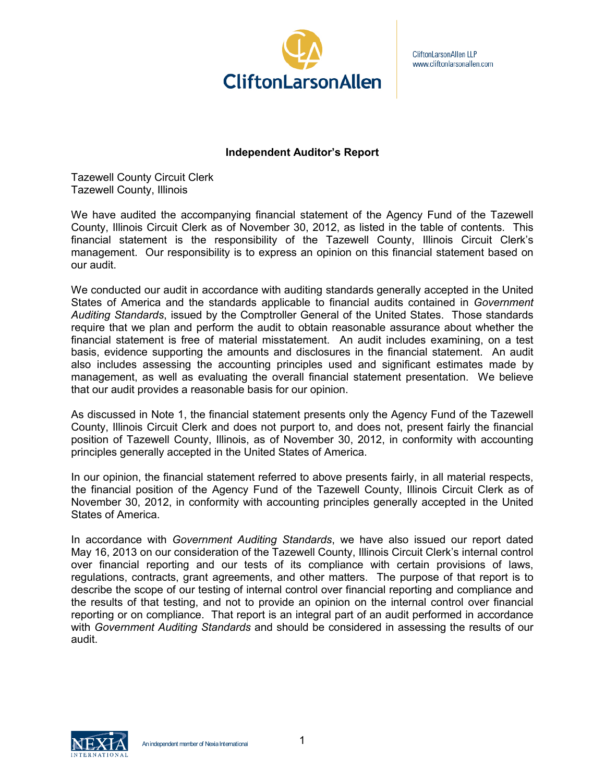

CliftonLarsonAllen LLP www.cliftonlarsonallen.com

# **Independent Auditor's Report**

Tazewell County Circuit Clerk Tazewell County, Illinois

We have audited the accompanying financial statement of the Agency Fund of the Tazewell County, Illinois Circuit Clerk as of November 30, 2012, as listed in the table of contents. This financial statement is the responsibility of the Tazewell County, Illinois Circuit Clerk's management. Our responsibility is to express an opinion on this financial statement based on our audit.

We conducted our audit in accordance with auditing standards generally accepted in the United States of America and the standards applicable to financial audits contained in *Government Auditing Standards*, issued by the Comptroller General of the United States. Those standards require that we plan and perform the audit to obtain reasonable assurance about whether the financial statement is free of material misstatement. An audit includes examining, on a test basis, evidence supporting the amounts and disclosures in the financial statement. An audit also includes assessing the accounting principles used and significant estimates made by management, as well as evaluating the overall financial statement presentation. We believe that our audit provides a reasonable basis for our opinion.

As discussed in Note 1, the financial statement presents only the Agency Fund of the Tazewell County, Illinois Circuit Clerk and does not purport to, and does not, present fairly the financial position of Tazewell County, Illinois, as of November 30, 2012, in conformity with accounting principles generally accepted in the United States of America.

In our opinion, the financial statement referred to above presents fairly, in all material respects, the financial position of the Agency Fund of the Tazewell County, Illinois Circuit Clerk as of November 30, 2012, in conformity with accounting principles generally accepted in the United States of America.

In accordance with *Government Auditing Standards*, we have also issued our report dated May 16, 2013 on our consideration of the Tazewell County, Illinois Circuit Clerk's internal control over financial reporting and our tests of its compliance with certain provisions of laws, regulations, contracts, grant agreements, and other matters. The purpose of that report is to describe the scope of our testing of internal control over financial reporting and compliance and the results of that testing, and not to provide an opinion on the internal control over financial reporting or on compliance. That report is an integral part of an audit performed in accordance with *Government Auditing Standards* and should be considered in assessing the results of our audit.

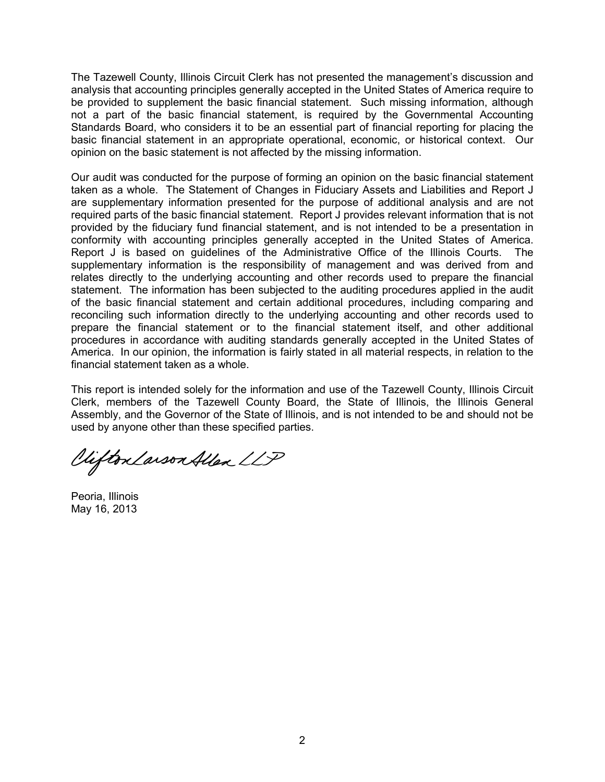The Tazewell County, Illinois Circuit Clerk has not presented the management's discussion and analysis that accounting principles generally accepted in the United States of America require to be provided to supplement the basic financial statement. Such missing information, although not a part of the basic financial statement, is required by the Governmental Accounting Standards Board, who considers it to be an essential part of financial reporting for placing the basic financial statement in an appropriate operational, economic, or historical context. Our opinion on the basic statement is not affected by the missing information.

Our audit was conducted for the purpose of forming an opinion on the basic financial statement taken as a whole. The Statement of Changes in Fiduciary Assets and Liabilities and Report J are supplementary information presented for the purpose of additional analysis and are not required parts of the basic financial statement. Report J provides relevant information that is not provided by the fiduciary fund financial statement, and is not intended to be a presentation in conformity with accounting principles generally accepted in the United States of America. Report J is based on guidelines of the Administrative Office of the Illinois Courts. The supplementary information is the responsibility of management and was derived from and relates directly to the underlying accounting and other records used to prepare the financial statement. The information has been subjected to the auditing procedures applied in the audit of the basic financial statement and certain additional procedures, including comparing and reconciling such information directly to the underlying accounting and other records used to prepare the financial statement or to the financial statement itself, and other additional procedures in accordance with auditing standards generally accepted in the United States of America. In our opinion, the information is fairly stated in all material respects, in relation to the financial statement taken as a whole.

This report is intended solely for the information and use of the Tazewell County, Illinois Circuit Clerk, members of the Tazewell County Board, the State of Illinois, the Illinois General Assembly, and the Governor of the State of Illinois, and is not intended to be and should not be used by anyone other than these specified parties.

Viifton Larson Allen LLP

Peoria, Illinois May 16, 2013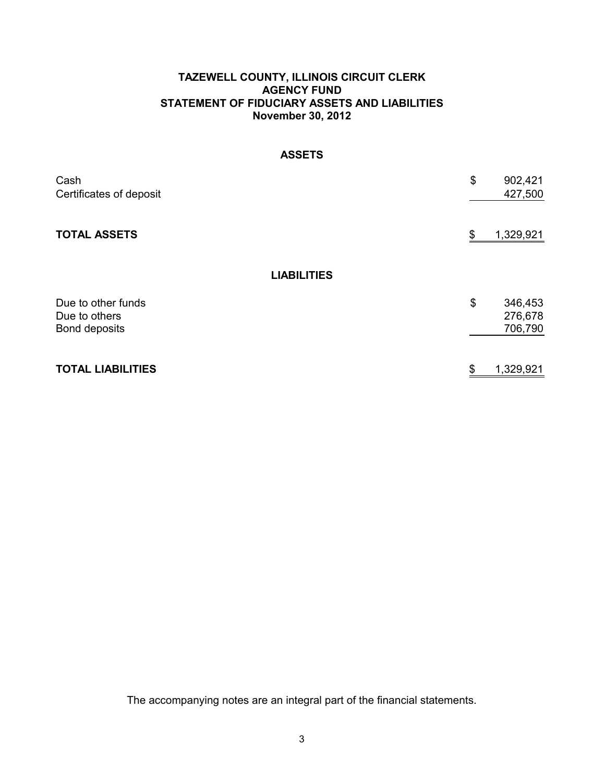# **TAZEWELL COUNTY, ILLINOIS CIRCUIT CLERK AGENCY FUND STATEMENT OF FIDUCIARY ASSETS AND LIABILITIES November 30, 2012**

# **ASSETS**

| Cash<br>Certificates of deposit                      | \$ | 902,421<br>427,500            |
|------------------------------------------------------|----|-------------------------------|
| <b>TOTAL ASSETS</b>                                  | \$ | 1,329,921                     |
| <b>LIABILITIES</b>                                   |    |                               |
| Due to other funds<br>Due to others<br>Bond deposits | \$ | 346,453<br>276,678<br>706,790 |
| <b>TOTAL LIABILITIES</b>                             | S  | 1,329,921                     |

The accompanying notes are an integral part of the financial statements.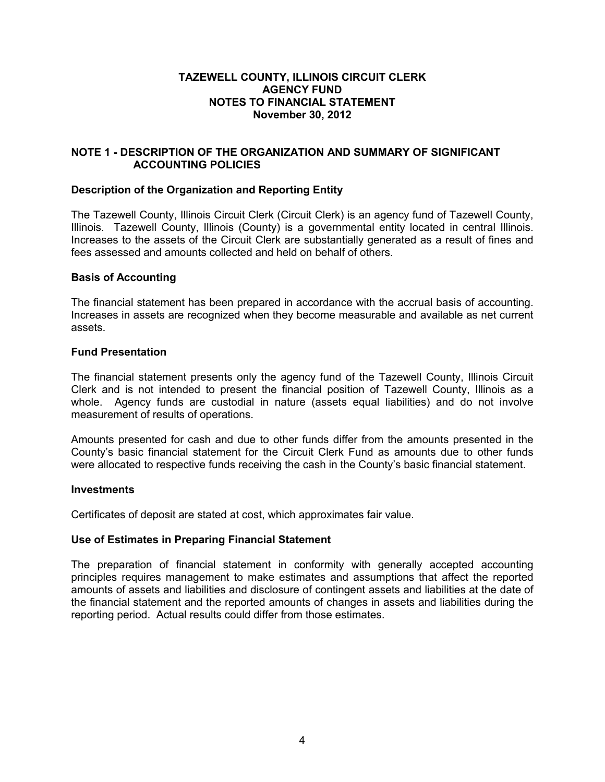# **TAZEWELL COUNTY, ILLINOIS CIRCUIT CLERK AGENCY FUND NOTES TO FINANCIAL STATEMENT November 30, 2012**

# **NOTE 1 - DESCRIPTION OF THE ORGANIZATION AND SUMMARY OF SIGNIFICANT ACCOUNTING POLICIES**

# **Description of the Organization and Reporting Entity**

The Tazewell County, Illinois Circuit Clerk (Circuit Clerk) is an agency fund of Tazewell County, Illinois. Tazewell County, Illinois (County) is a governmental entity located in central Illinois. Increases to the assets of the Circuit Clerk are substantially generated as a result of fines and fees assessed and amounts collected and held on behalf of others.

# **Basis of Accounting**

The financial statement has been prepared in accordance with the accrual basis of accounting. Increases in assets are recognized when they become measurable and available as net current assets.

# **Fund Presentation**

The financial statement presents only the agency fund of the Tazewell County, Illinois Circuit Clerk and is not intended to present the financial position of Tazewell County, Illinois as a whole. Agency funds are custodial in nature (assets equal liabilities) and do not involve measurement of results of operations.

Amounts presented for cash and due to other funds differ from the amounts presented in the County's basic financial statement for the Circuit Clerk Fund as amounts due to other funds were allocated to respective funds receiving the cash in the County's basic financial statement.

# **Investments**

Certificates of deposit are stated at cost, which approximates fair value.

# **Use of Estimates in Preparing Financial Statement**

The preparation of financial statement in conformity with generally accepted accounting principles requires management to make estimates and assumptions that affect the reported amounts of assets and liabilities and disclosure of contingent assets and liabilities at the date of the financial statement and the reported amounts of changes in assets and liabilities during the reporting period. Actual results could differ from those estimates.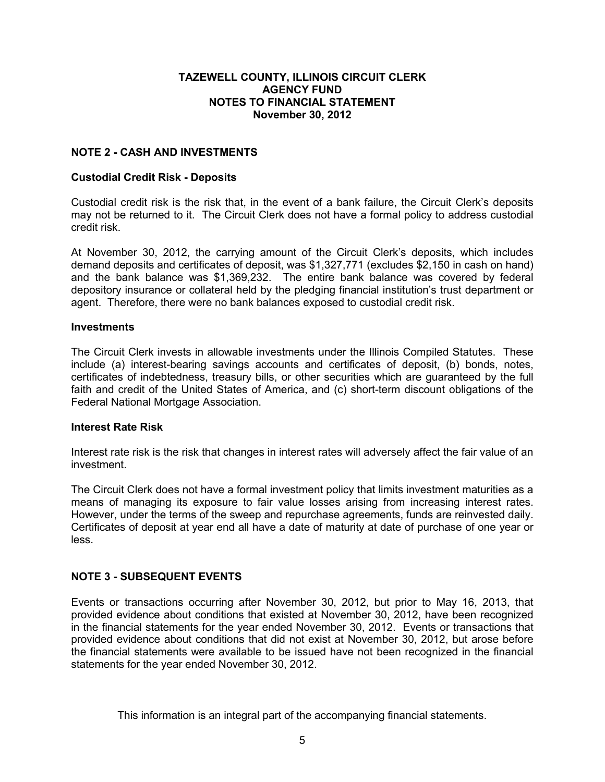# **TAZEWELL COUNTY, ILLINOIS CIRCUIT CLERK AGENCY FUND NOTES TO FINANCIAL STATEMENT November 30, 2012**

# **NOTE 2 - CASH AND INVESTMENTS**

# **Custodial Credit Risk - Deposits**

Custodial credit risk is the risk that, in the event of a bank failure, the Circuit Clerk's deposits may not be returned to it. The Circuit Clerk does not have a formal policy to address custodial credit risk.

At November 30, 2012, the carrying amount of the Circuit Clerk's deposits, which includes demand deposits and certificates of deposit, was \$1,327,771 (excludes \$2,150 in cash on hand) and the bank balance was \$1,369,232. The entire bank balance was covered by federal depository insurance or collateral held by the pledging financial institution's trust department or agent. Therefore, there were no bank balances exposed to custodial credit risk.

# **Investments**

The Circuit Clerk invests in allowable investments under the Illinois Compiled Statutes. These include (a) interest-bearing savings accounts and certificates of deposit, (b) bonds, notes, certificates of indebtedness, treasury bills, or other securities which are guaranteed by the full faith and credit of the United States of America, and (c) short-term discount obligations of the Federal National Mortgage Association.

# **Interest Rate Risk**

Interest rate risk is the risk that changes in interest rates will adversely affect the fair value of an investment.

The Circuit Clerk does not have a formal investment policy that limits investment maturities as a means of managing its exposure to fair value losses arising from increasing interest rates. However, under the terms of the sweep and repurchase agreements, funds are reinvested daily. Certificates of deposit at year end all have a date of maturity at date of purchase of one year or less.

# **NOTE 3 - SUBSEQUENT EVENTS**

Events or transactions occurring after November 30, 2012, but prior to May 16, 2013, that provided evidence about conditions that existed at November 30, 2012, have been recognized in the financial statements for the year ended November 30, 2012. Events or transactions that provided evidence about conditions that did not exist at November 30, 2012, but arose before the financial statements were available to be issued have not been recognized in the financial statements for the year ended November 30, 2012.

This information is an integral part of the accompanying financial statements.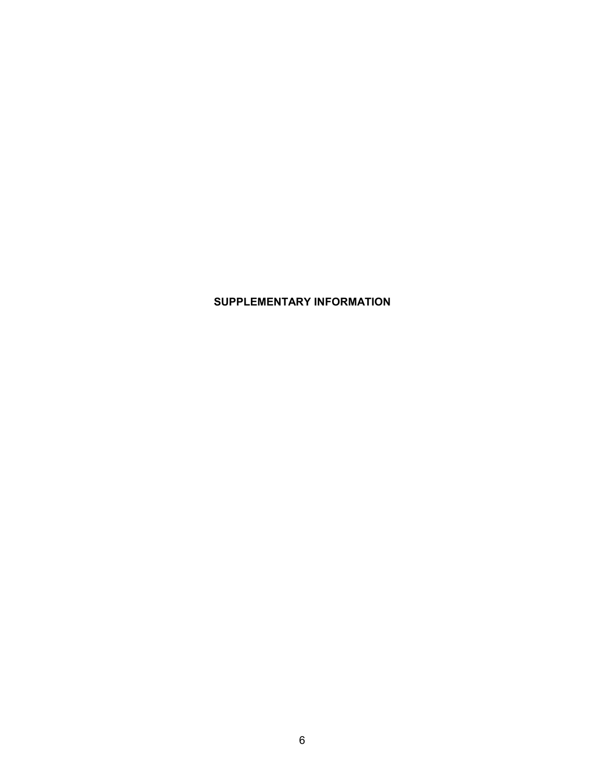# **SUPPLEMENTARY INFORMATION**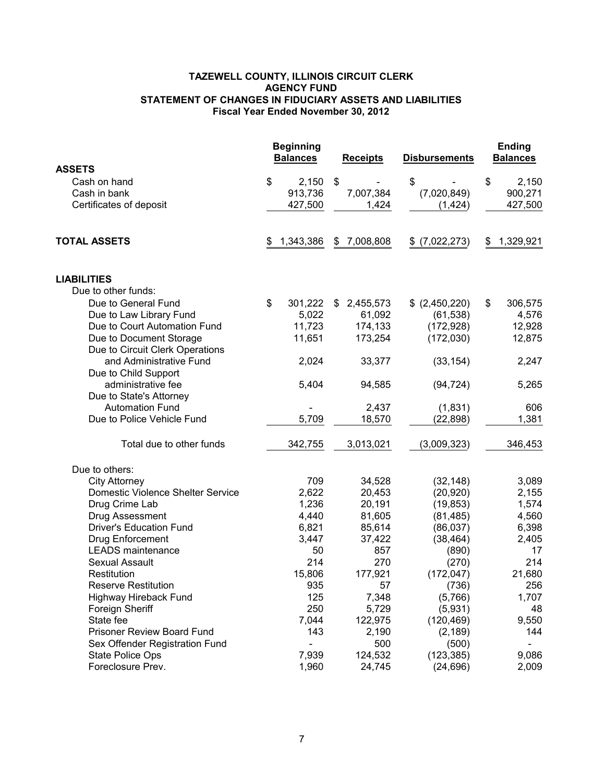# **TAZEWELL COUNTY, ILLINOIS CIRCUIT CLERK AGENCY FUND STATEMENT OF CHANGES IN FIDUCIARY ASSETS AND LIABILITIES Fiscal Year Ended November 30, 2012**

|                                                                                    |    | <b>Beginning</b><br><b>Balances</b> | <b>Receipts</b>      | <b>Disbursements</b> | <b>Ending</b><br><b>Balances</b> |
|------------------------------------------------------------------------------------|----|-------------------------------------|----------------------|----------------------|----------------------------------|
| <b>ASSETS</b>                                                                      |    |                                     |                      |                      |                                  |
| Cash on hand                                                                       | \$ | 2,150                               | \$<br>$\blacksquare$ | \$                   | \$<br>2,150                      |
| Cash in bank                                                                       |    | 913,736                             | 7,007,384            | (7,020,849)          | 900,271                          |
| Certificates of deposit                                                            |    | 427,500                             | 1,424                | (1, 424)             | 427,500                          |
| <b>TOTAL ASSETS</b>                                                                | S. | 1,343,386                           | \$7,008,808          | \$ (7,022,273)       | \$1,329,921                      |
| <b>LIABILITIES</b>                                                                 |    |                                     |                      |                      |                                  |
| Due to other funds:                                                                |    |                                     |                      |                      |                                  |
| Due to General Fund                                                                | \$ | 301,222                             | \$<br>2,455,573      | \$ (2,450,220)       | \$<br>306,575                    |
| Due to Law Library Fund                                                            |    | 5,022                               | 61,092               | (61, 538)            | 4,576                            |
| Due to Court Automation Fund                                                       |    | 11,723                              | 174,133              | (172, 928)           | 12,928                           |
| Due to Document Storage                                                            |    | 11,651                              | 173,254              | (172, 030)           | 12,875                           |
| Due to Circuit Clerk Operations<br>and Administrative Fund<br>Due to Child Support |    | 2,024                               | 33,377               | (33, 154)            | 2,247                            |
| administrative fee<br>Due to State's Attorney                                      |    | 5,404                               | 94,585               | (94, 724)            | 5,265                            |
| <b>Automation Fund</b>                                                             |    |                                     | 2,437                | (1,831)              | 606                              |
| Due to Police Vehicle Fund                                                         |    | 5,709                               | 18,570               | (22, 898)            | 1,381                            |
| Total due to other funds                                                           |    | 342,755                             | 3,013,021            | (3,009,323)          | 346,453                          |
| Due to others:                                                                     |    |                                     |                      |                      |                                  |
| <b>City Attorney</b>                                                               |    | 709                                 | 34,528               | (32, 148)            | 3,089                            |
| Domestic Violence Shelter Service                                                  |    | 2,622                               | 20,453               | (20, 920)            | 2,155                            |
| Drug Crime Lab                                                                     |    | 1,236                               | 20,191               | (19, 853)            | 1,574                            |
| Drug Assessment                                                                    |    | 4,440                               | 81,605               | (81, 485)            | 4,560                            |
| <b>Driver's Education Fund</b>                                                     |    | 6,821                               | 85,614               | (86, 037)            | 6,398                            |
| Drug Enforcement<br><b>LEADS</b> maintenance                                       |    | 3,447<br>50                         | 37,422<br>857        | (38, 464)<br>(890)   | 2,405<br>17                      |
| <b>Sexual Assault</b>                                                              |    | 214                                 | 270                  | (270)                | 214                              |
| Restitution                                                                        |    | 15,806                              | 177,921              | (172, 047)           | 21,680                           |
| <b>Reserve Restitution</b>                                                         |    | 935                                 | 57                   | (736)                | 256                              |
| Highway Hireback Fund                                                              |    | 125                                 | 7,348                | (5,766)              | 1,707                            |
| Foreign Sheriff                                                                    |    | 250                                 | 5,729                | (5,931)              | 48                               |
| State fee                                                                          |    | 7,044                               | 122,975              | (120, 469)           | 9,550                            |
| <b>Prisoner Review Board Fund</b>                                                  |    | 143                                 | 2,190                | (2, 189)             | 144                              |
| Sex Offender Registration Fund                                                     |    |                                     | 500                  | (500)                |                                  |
| State Police Ops                                                                   |    | 7,939                               | 124,532              | (123, 385)           | 9,086                            |
| Foreclosure Prev.                                                                  |    | 1,960                               | 24,745               | (24, 696)            | 2,009                            |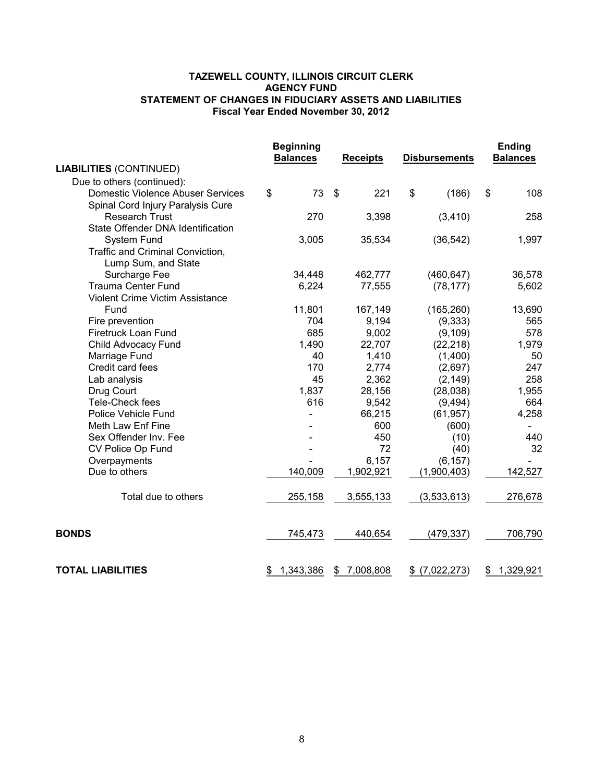# **TAZEWELL COUNTY, ILLINOIS CIRCUIT CLERK AGENCY FUND STATEMENT OF CHANGES IN FIDUCIARY ASSETS AND LIABILITIES Fiscal Year Ended November 30, 2012**

|                                          | <b>Beginning</b><br><b>Balances</b> | <b>Receipts</b> | <b>Disbursements</b> | <b>Ending</b><br><b>Balances</b> |
|------------------------------------------|-------------------------------------|-----------------|----------------------|----------------------------------|
| <b>LIABILITIES (CONTINUED)</b>           |                                     |                 |                      |                                  |
| Due to others (continued):               |                                     |                 |                      |                                  |
| <b>Domestic Violence Abuser Services</b> | 73<br>\$                            | \$<br>221       | \$<br>(186)          | \$<br>108                        |
| Spinal Cord Injury Paralysis Cure        |                                     |                 |                      |                                  |
| <b>Research Trust</b>                    | 270                                 | 3,398           | (3, 410)             | 258                              |
| State Offender DNA Identification        |                                     |                 |                      |                                  |
| <b>System Fund</b>                       | 3,005                               | 35,534          | (36, 542)            | 1,997                            |
| Traffic and Criminal Conviction,         |                                     |                 |                      |                                  |
| Lump Sum, and State                      |                                     |                 |                      |                                  |
| Surcharge Fee                            | 34,448                              | 462,777         | (460, 647)           | 36,578                           |
| <b>Trauma Center Fund</b>                | 6,224                               | 77,555          | (78, 177)            | 5,602                            |
| <b>Violent Crime Victim Assistance</b>   |                                     |                 |                      |                                  |
| Fund                                     | 11,801                              | 167,149         | (165, 260)           | 13,690                           |
| Fire prevention                          | 704                                 | 9,194           | (9, 333)             | 565                              |
| Firetruck Loan Fund                      | 685                                 | 9,002           | (9, 109)             | 578                              |
| Child Advocacy Fund                      | 1,490                               | 22,707          | (22, 218)            | 1,979                            |
| Marriage Fund                            | 40                                  | 1,410           | (1,400)              | 50                               |
| Credit card fees                         | 170                                 | 2,774           | (2,697)              | 247                              |
| Lab analysis                             | 45                                  | 2,362           | (2, 149)             | 258                              |
| Drug Court                               | 1,837                               | 28,156          | (28, 038)            | 1,955                            |
| Tele-Check fees                          | 616                                 | 9,542           | (9, 494)             | 664                              |
| Police Vehicle Fund                      |                                     | 66,215          | (61, 957)            | 4,258                            |
| Meth Law Enf Fine                        |                                     | 600             | (600)                |                                  |
| Sex Offender Inv. Fee                    |                                     | 450             | (10)                 | 440                              |
| CV Police Op Fund                        |                                     | 72              | (40)                 | 32                               |
| Overpayments                             |                                     | 6,157           | (6, 157)             |                                  |
| Due to others                            | 140,009                             | 1,902,921       | (1,900,403)          | 142,527                          |
| Total due to others                      | 255,158                             | 3,555,133       | (3,533,613)          | 276,678                          |
| <b>BONDS</b>                             | 745,473                             | 440,654         | (479, 337)           | 706,790                          |
| <b>TOTAL LIABILITIES</b>                 | 1,343,386<br>\$                     | 7,008,808<br>\$ | \$ (7,022,273)       | 1,329,921<br>\$                  |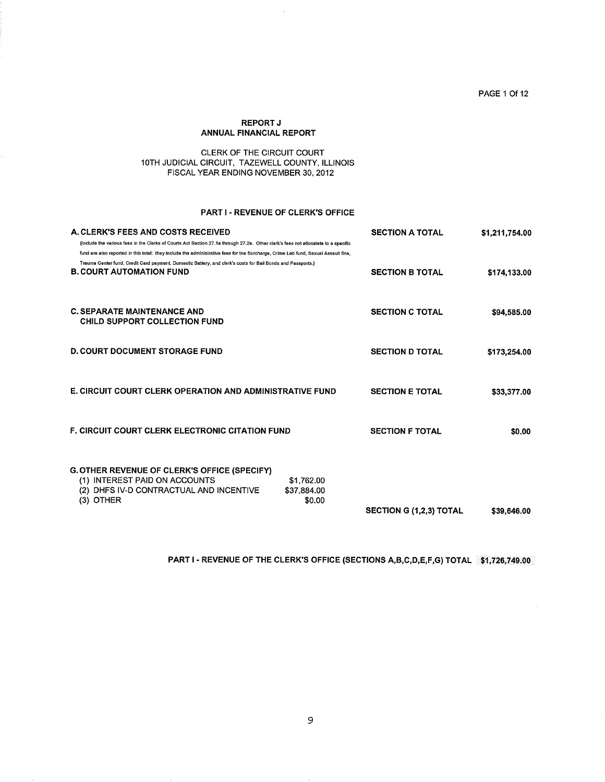PAGE 1 Of 12

#### **REPORT J** ANNUAL FINANCIAL REPORT

 $\hat{\mathcal{L}}$ 

#### CLERK OF THE CIRCUIT COURT 10TH JUDICIAL CIRCUIT, TAZEWELL COUNTY, ILLINOIS FISCAL YEAR ENDING NOVEMBER 30, 2012

#### PART I - REVENUE OF CLERK'S OFFICE

| A. CLERK'S FEES AND COSTS RECEIVED<br>(include the various fees in the Clerks of Courts Act Section 27.1a through 27.2a. Other clerk's fees not allocatate to a specific<br>fund are also reported in this total: they include the administrative fees for tne Surcharge, Crime Lab fund, Sexual Assault fine,<br>Trauma Center fund, Credit Card payment, Domestic Battery, and clerk's costs for Bail Bonds and Passports.) |                                     | <b>SECTION A TOTAL</b>  | \$1,211,754.00 |
|-------------------------------------------------------------------------------------------------------------------------------------------------------------------------------------------------------------------------------------------------------------------------------------------------------------------------------------------------------------------------------------------------------------------------------|-------------------------------------|-------------------------|----------------|
| <b>B. COURT AUTOMATION FUND</b>                                                                                                                                                                                                                                                                                                                                                                                               | <b>SECTION B TOTAL</b>              |                         | \$174,133.00   |
| <b>C. SEPARATE MAINTENANCE AND</b><br>CHILD SUPPORT COLLECTION FUND                                                                                                                                                                                                                                                                                                                                                           |                                     | <b>SECTION C TOTAL</b>  | \$94,585.00    |
| <b>D. COURT DOCUMENT STORAGE FUND</b>                                                                                                                                                                                                                                                                                                                                                                                         |                                     | <b>SECTION D TOTAL</b>  | \$173,254.00   |
| <b>E. CIRCUIT COURT CLERK OPERATION AND ADMINISTRATIVE FUND</b>                                                                                                                                                                                                                                                                                                                                                               |                                     | <b>SECTION E TOTAL</b>  | \$33,377.00    |
| <b>F. CIRCUIT COURT CLERK ELECTRONIC CITATION FUND</b>                                                                                                                                                                                                                                                                                                                                                                        |                                     | <b>SECTION F TOTAL</b>  | \$0.00         |
| <b>G. OTHER REVENUE OF CLERK'S OFFICE (SPECIFY)</b><br>(1) INTEREST PAID ON ACCOUNTS<br>(2) DHFS IV-D CONTRACTUAL AND INCENTIVE<br>(3) OTHER                                                                                                                                                                                                                                                                                  | \$1,762.00<br>\$37,884.00<br>\$0.00 |                         |                |
|                                                                                                                                                                                                                                                                                                                                                                                                                               |                                     | SECTION G (1,2,3) TOTAL | \$39,646.00    |

PART I - REVENUE OF THE CLERK'S OFFICE (SECTIONS A,B,C,D,E,F,G) TOTAL \$1,726,749.00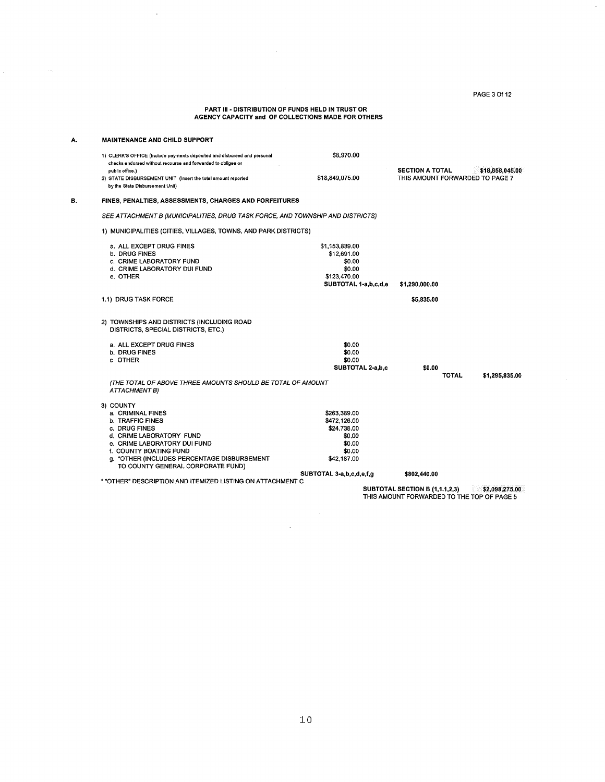PAGE 3 Of 12

 $\hat{\mathcal{L}}$ 

# PART III - DISTRIBUTION OF FUNDS HELD IN TRUST OR<br>AGENCY CAPACITY and OF COLLECTIONS MADE FOR OTHERS

 $\sim$ 

 $\sim 10$ 

 $\frac{1}{2}$ 

A.

В.

| 1) CLERK'S OFFICE (Include payments deposited and disbursed and personal<br>checks endorsed without recourse and forwarded to obligee or | \$8,970.00               |                                                           |                 |
|------------------------------------------------------------------------------------------------------------------------------------------|--------------------------|-----------------------------------------------------------|-----------------|
| public office.)<br>2) STATE DISBURSEMENT UNIT (insert the total amount reported<br>by the State Disbursement Unit)                       | \$18,849,075.00          | <b>SECTION A TOTAL</b><br>THIS AMOUNT FORWARDED TO PAGE 7 | \$18,858,045.00 |
| <b>FINES, PENALTIES, ASSESSMENTS, CHARGES AND FORFEITURES</b>                                                                            |                          |                                                           |                 |
| SEE ATTACHMENT B (MUNICIPALITIES, DRUG TASK FORCE, AND TOWNSHIP AND DISTRICTS)                                                           |                          |                                                           |                 |
| 1) MUNICIPALITIES (CITIES, VILLAGES, TOWNS, AND PARK DISTRICTS)                                                                          |                          |                                                           |                 |
| a. ALL EXCEPT DRUG FINES                                                                                                                 | \$1,153,839.00           |                                                           |                 |
| <b>b. DRUG FINES</b>                                                                                                                     | \$12,691.00              |                                                           |                 |
| c. CRIME LABORATORY FUND<br>d. CRIME LABORATORY DUI FUND                                                                                 | \$0.00<br>\$0.00         |                                                           |                 |
| e. OTHER                                                                                                                                 | \$123,470.00             |                                                           |                 |
|                                                                                                                                          | SUBTOTAL 1-a,b,c,d,e     | \$1,290,000.00                                            |                 |
| 1.1) DRUG TASK FORCE                                                                                                                     |                          | \$5,835.00                                                |                 |
| 2) TOWNSHIPS AND DISTRICTS (INCLUDING ROAD<br>DISTRICTS, SPECIAL DISTRICTS, ETC.)                                                        |                          |                                                           |                 |
| a. ALL EXCEPT DRUG FINES                                                                                                                 | \$0.00                   |                                                           |                 |
| <b>b. DRUG FINES</b>                                                                                                                     | \$0.00                   |                                                           |                 |
| c OTHER                                                                                                                                  | \$0.00                   |                                                           |                 |
|                                                                                                                                          | SUBTOTAL 2-a,b,c         | \$0.00<br><b>TOTAL</b>                                    | \$1,295,835.00  |
| (THE TOTAL OF ABOVE THREE AMOUNTS SHOULD BE TOTAL OF AMOUNT<br>ATTACHMENT B)                                                             |                          |                                                           |                 |
| 3) COUNTY                                                                                                                                |                          |                                                           |                 |
| a. CRIMINAL FINES                                                                                                                        | \$263,389.00             |                                                           |                 |
| <b>b. TRAFFIC FINES</b>                                                                                                                  | \$472,126.00             |                                                           |                 |
| c. DRUG FINES<br>d. CRIME LABORATORY FUND                                                                                                | \$24,738.00<br>\$0.00    |                                                           |                 |
| e. CRIME LABORATORY DUI FUND                                                                                                             | \$0.00                   |                                                           |                 |
| f. COUNTY BOATING FUND                                                                                                                   | \$0.00                   |                                                           |                 |
| g. *OTHER (INCLUDES PERCENTAGE DISBURSEMENT<br>TO COUNTY GENERAL CORPORATE FUND)                                                         | \$42,187.00              |                                                           |                 |
| * "OTHER" DESCRIPTION AND ITEMIZED LISTING ON ATTACHMENT C                                                                               | SUBTOTAL 3-a,b,c,d,e,f,g | \$802,440.00                                              |                 |
|                                                                                                                                          |                          | <b>SUBTOTAL SECTION B (1,1.1,2,3)</b>                     | \$2,098,275.00  |
|                                                                                                                                          |                          | THIS AMOUNT FORWARDED TO THE TOP OF PAGE 5                |                 |

 $\bar{\mathcal{A}}$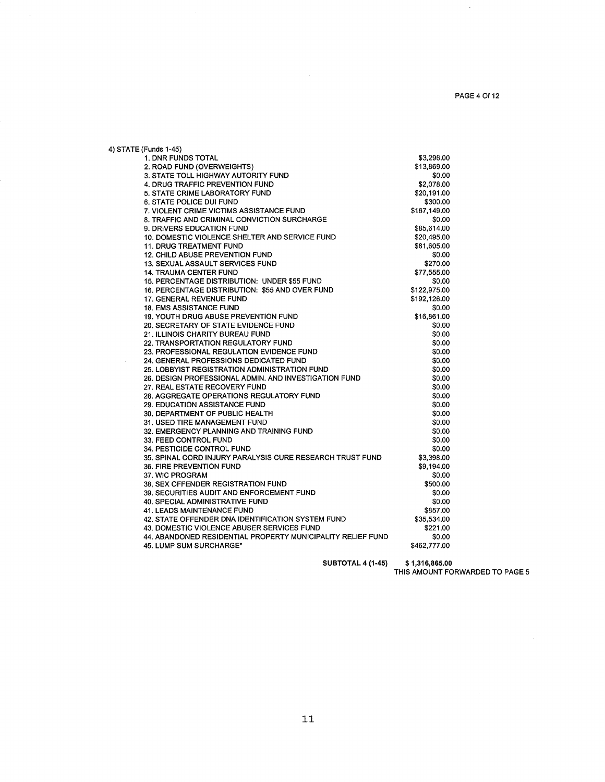$\hat{\mathcal{A}}$ 

| 4) STATE (Funds 1-45)                                       |              |
|-------------------------------------------------------------|--------------|
| 1. DNR FUNDS TOTAL                                          | \$3,296.00   |
| 2. ROAD FUND (OVERWEIGHTS)                                  | \$13,869.00  |
| 3. STATE TOLL HIGHWAY AUTORITY FUND                         | \$0.00       |
| 4. DRUG TRAFFIC PREVENTION FUND                             | \$2,078.00   |
| 5. STATE CRIME LABORATORY FUND                              | \$20,191.00  |
| <b>6. STATE POLICE DUI FUND</b>                             | \$300.00     |
| 7. VIOLENT CRIME VICTIMS ASSISTANCE FUND                    | \$167,149.00 |
| 8. TRAFFIC AND CRIMINAL CONVICTION SURCHARGE                | \$0.00       |
| 9. DRIVERS EDUCATION FUND                                   | \$85,614.00  |
| 10. DOMESTIC VIOLENCE SHELTER AND SERVICE FUND              | \$20,495.00  |
| <b>11. DRUG TREATMENT FUND</b>                              | \$81,605.00  |
| <b>12. CHILD ABUSE PREVENTION FUND</b>                      | \$0.00       |
| <b>13. SEXUAL ASSAULT SERVICES FUND</b>                     | \$270.00     |
| <b>14. TRAUMA CENTER FUND</b>                               | \$77,555.00  |
| 15. PERCENTAGE DISTRIBUTION: UNDER \$55 FUND                | \$0.00       |
| 16. PERCENTAGE DISTRIBUTION: \$55 AND OVER FUND             | \$122,975.00 |
| <b>17. GENERAL REVENUE FUND</b>                             | \$192,126.00 |
| <b>18. EMS ASSISTANCE FUND</b>                              | \$0.00       |
| <b>19. YOUTH DRUG ABUSE PREVENTION FUND</b>                 | \$16,861.00  |
| 20. SECRETARY OF STATE EVIDENCE FUND                        | \$0.00       |
| 21. ILLINOIS CHARITY BUREAU FUND                            | \$0.00       |
| <b>22. TRANSPORTATION REGULATORY FUND</b>                   | \$0.00       |
| 23. PROFESSIONAL REGULATION EVIDENCE FUND                   | \$0.00       |
| 24. GENERAL PROFESSIONS DEDICATED FUND                      | \$0.00       |
| 25. LOBBYIST REGISTRATION ADMINISTRATION FUND               | \$0.00       |
| 26. DESIGN PROFESSIONAL ADMIN. AND INVESTIGATION FUND       | \$0.00       |
| 27. REAL ESTATE RECOVERY FUND                               | \$0.00       |
| <b>28. AGGREGATE OPERATIONS REGULATORY FUND</b>             | \$0.00       |
| <b>29. EDUCATION ASSISTANCE FUND</b>                        | \$0.00       |
| 30. DEPARTMENT OF PUBLIC HEALTH                             | \$0.00       |
| 31. USED TIRE MANAGEMENT FUND                               | \$0.00       |
| 32. EMERGENCY PLANNING AND TRAINING FUND                    | \$0.00       |
| 33. FEED CONTROL FUND                                       | \$0.00       |
| <b>34. PESTICIDE CONTROL FUND</b>                           | \$0.00       |
| 35. SPINAL CORD INJURY PARALYSIS CURE RESEARCH TRUST FUND   | \$3,398.00   |
| <b>36. FIRE PREVENTION FUND</b>                             | \$9,194.00   |
| 37. WIC PROGRAM                                             | \$0.00       |
| <b>38. SEX OFFENDER REGISTRATION FUND</b>                   | \$500.00     |
| 39. SECURITIES AUDIT AND ENFORCEMENT FUND                   | \$0.00       |
| <b>40. SPECIAL ADMINISTRATIVE FUND</b>                      | \$0.00       |
| <b>41. LEADS MAINTENANCE FUND</b>                           | \$857.00     |
| 42. STATE OFFENDER DNA IDENTIFICATION SYSTEM FUND           | \$35,534.00  |
| 43. DOMESTIC VIOLENCE ABUSER SERVICES FUND                  | \$221.00     |
| 44. ABANDONED RESIDENTIAL PROPERTY MUNICIPALITY RELIEF FUND | \$0.00       |
| 45. LUMP SUM SURCHARGE*                                     | \$462,777.00 |
|                                                             |              |

 $\sim$ 

SUBTOTAL 4 (1-45) \$ 1,316,865.00<br>THIS AMOUNT FORWARDED TO PAGE 5

 $\sim$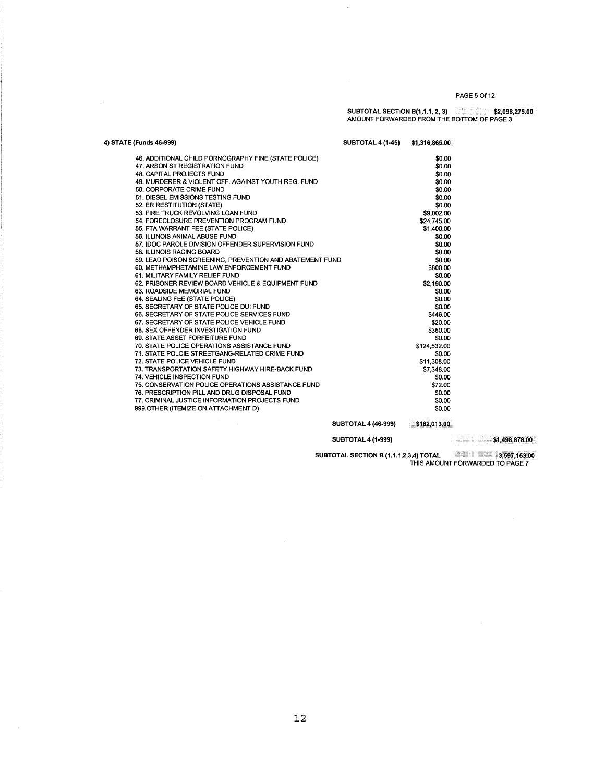#### PAGE 5 Of 12

SUBTOTAL SECTION B(1,1.1, 2, 3)<br>AMOUNT FORWARDED FROM THE BOTTOM OF PAGE 3

| 4) STATE (Funds 46-999)                                  | SUBTOTAL 4 (1-45) \$1,316,865.00 |              |
|----------------------------------------------------------|----------------------------------|--------------|
| 46. ADDITIONAL CHILD PORNOGRAPHY FINE (STATE POLICE)     |                                  | \$0.00       |
| 47. ARSONIST REGISTRATION FUND                           |                                  | \$0.00       |
| <b>48. CAPITAL PROJECTS FUND</b>                         |                                  | \$0.00       |
| 49. MURDERER & VIOLENT OFF. AGAINST YOUTH REG. FUND      |                                  | \$0.00       |
| 50. CORPORATE CRIME FUND                                 |                                  | \$0.00       |
| 51. DIESEL EMISSIONS TESTING FUND                        |                                  | \$0.00       |
| 52. ER RESTITUTION (STATE)                               |                                  | \$0.00       |
| 53. FIRE TRUCK REVOLVING LOAN FUND                       |                                  | \$9,002.00   |
| 54. FORECLOSURE PREVENTION PROGRAM FUND                  |                                  | \$24,745.00  |
| 55. FTA WARRANT FEE (STATE POLICE)                       |                                  | \$1,400.00   |
| 56. ILLINOIS ANIMAL ABUSE FUND                           |                                  | \$0.00       |
| 57. IDOC PAROLE DIVISION OFFENDER SUPERVISION FUND       |                                  | \$0.00       |
| 58. ILLINOIS RACING BOARD                                |                                  | \$0.00       |
| 59. LEAD POISON SCREENING, PREVENTION AND ABATEMENT FUND |                                  | \$0.00       |
| 60. METHAMPHETAMINE LAW ENFORCEMENT FUND                 |                                  | \$600.00     |
| 61. MILITARY FAMILY RELIEF FUND                          |                                  | \$0.00       |
| 62. PRISONER REVIEW BOARD VEHICLE & EQUIPMENT FUND       |                                  | \$2,190.00   |
| 63. ROADSIDE MEMORIAL FUND                               |                                  | \$0.00       |
| 64. SEALING FEE (STATE POLICE)                           |                                  | \$0.00       |
| 65. SECRETARY OF STATE POLICE DUI FUND                   |                                  | \$0.00       |
| 66. SECRETARY OF STATE POLICE SERVICES FUND              |                                  | \$446.00     |
| 67. SECRETARY OF STATE POLICE VEHICLE FUND               |                                  | \$20.00      |
| 68. SEX OFFENDER INVESTIGATION FUND                      |                                  | \$350.00     |
| 69. STATE ASSET FORFEITURE FUND                          |                                  | \$0.00       |
| 70. STATE POLICE OPERATIONS ASSISTANCE FUND              |                                  | \$124,532.00 |
| 71. STATE POLCIE STREETGANG-RELATED CRIME FUND           |                                  | \$0.00       |
| 72. STATE POLICE VEHICLE FUND                            |                                  | \$11,308.00  |
| 73. TRANSPORTATION SAFETY HIGHWAY HIRE-BACK FUND         |                                  | \$7,348.00   |
| 74. VEHICLE INSPECTION FUND                              |                                  | \$0.00       |
| 75. CONSERVATION POLICE OPERATIONS ASSISTANCE FUND       |                                  | \$72.00      |
| 76. PRESCRIPTION PILL AND DRUG DISPOSAL FUND             |                                  | \$0.00       |
| 77. CRIMINAL JUSTICE INFORMATION PROJECTS FUND           |                                  | \$0.00       |
| 999. OTHER (ITEMIZE ON ATTACHMENT D)                     |                                  | \$0.00       |
|                                                          | <b>SUBTOTAL 4 (46-999)</b>       | \$182,013.00 |

 $\mathcal{A}^{\text{max}}$ 

 $\hat{\mathcal{A}}$ 

**SUBTOTAL 4 (1-999) Example 2018 CONSUMING 2018 CONSUMING 2019** 

 $\sim 10$ 

SUBTOTAL SECTION B (1,1.1,2,3,4) TOTAL<br>THIS AMOUNT FORWARDED TO PAGE 7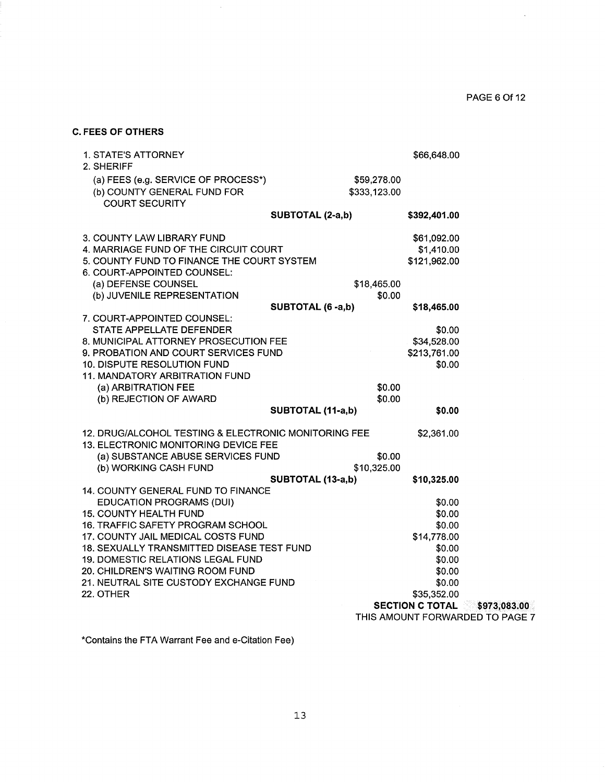$\sim$ 

| <b>1. STATE'S ATTORNEY</b><br>2. SHERIFF             |                   | \$66,648.00                     |              |
|------------------------------------------------------|-------------------|---------------------------------|--------------|
| (a) FEES (e.g. SERVICE OF PROCESS*)                  |                   | \$59,278.00                     |              |
| (b) COUNTY GENERAL FUND FOR                          |                   | \$333,123.00                    |              |
| <b>COURT SECURITY</b>                                | SUBTOTAL (2-a,b)  | \$392,401.00                    |              |
|                                                      |                   |                                 |              |
| 3. COUNTY LAW LIBRARY FUND                           |                   | \$61,092.00                     |              |
| 4. MARRIAGE FUND OF THE CIRCUIT COURT                |                   | \$1,410.00                      |              |
| 5. COUNTY FUND TO FINANCE THE COURT SYSTEM           |                   | \$121,962.00                    |              |
| 6. COURT-APPOINTED COUNSEL:                          |                   |                                 |              |
| (a) DEFENSE COUNSEL                                  |                   | \$18,465.00                     |              |
| (b) JUVENILE REPRESENTATION                          |                   | \$0.00                          |              |
|                                                      | SUBTOTAL (6 -a,b) | \$18,465.00                     |              |
| 7. COURT-APPOINTED COUNSEL:                          |                   |                                 |              |
| STATE APPELLATE DEFENDER                             |                   | \$0.00                          |              |
| 8. MUNICIPAL ATTORNEY PROSECUTION FEE                |                   | \$34,528.00                     |              |
| 9. PROBATION AND COURT SERVICES FUND                 |                   | \$213,761.00                    |              |
| <b>10. DISPUTE RESOLUTION FUND</b>                   |                   | \$0.00                          |              |
| 11. MANDATORY ARBITRATION FUND                       |                   | \$0.00                          |              |
| (a) ARBITRATION FEE                                  |                   | \$0.00                          |              |
| (b) REJECTION OF AWARD                               | SUBTOTAL (11-a,b) | \$0.00                          |              |
|                                                      |                   |                                 |              |
| 12. DRUG/ALCOHOL TESTING & ELECTRONIC MONITORING FEE |                   | \$2,361.00                      |              |
| 13. ELECTRONIC MONITORING DEVICE FEE                 |                   |                                 |              |
| (a) SUBSTANCE ABUSE SERVICES FUND                    |                   | \$0.00                          |              |
| (b) WORKING CASH FUND                                |                   | \$10,325.00                     |              |
|                                                      | SUBTOTAL (13-a,b) | \$10,325.00                     |              |
| 14. COUNTY GENERAL FUND TO FINANCE                   |                   |                                 |              |
| EDUCATION PROGRAMS (DUI)                             |                   | \$0.00                          |              |
| 15. COUNTY HEALTH FUND                               |                   | \$0.00                          |              |
| 16. TRAFFIC SAFETY PROGRAM SCHOOL                    |                   | \$0.00                          |              |
| 17. COUNTY JAIL MEDICAL COSTS FUND                   |                   | \$14,778.00                     |              |
| 18. SEXUALLY TRANSMITTED DISEASE TEST FUND           |                   | \$0.00                          |              |
| 19. DOMESTIC RELATIONS LEGAL FUND                    |                   | \$0.00                          |              |
| 20. CHILDREN'S WAITING ROOM FUND                     |                   | \$0.00                          |              |
| 21. NEUTRAL SITE CUSTODY EXCHANGE FUND               |                   | \$0.00                          |              |
| 22. OTHER                                            |                   | \$35,352.00                     |              |
|                                                      |                   | <b>SECTION C TOTAL</b>          | \$973,083.00 |
|                                                      |                   | THIS AMOUNT FORWARDED TO PAGE 7 |              |

 $\mathcal{A}^{\prime}$ 

**C. FEES OF OTHERS** 

\*Contains the FTA Warrant Fee and e-Citation Fee)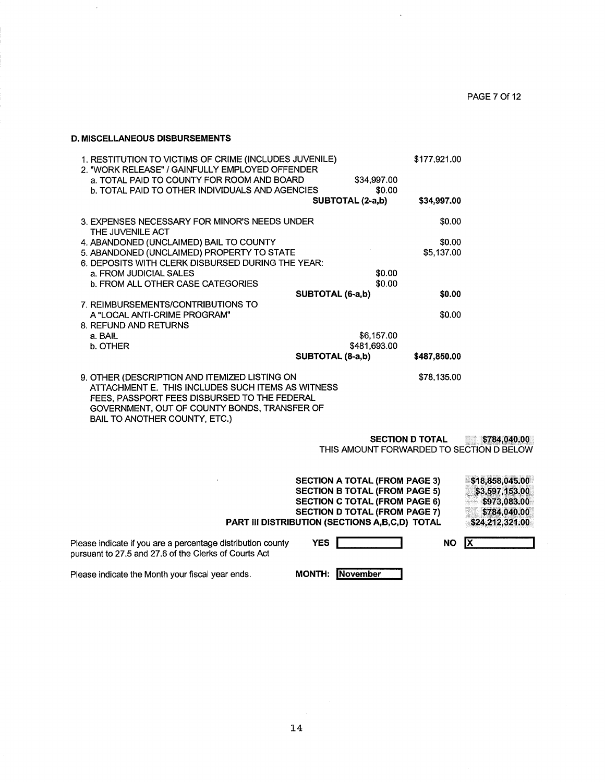$\hat{\mathcal{A}}$ 

### **D. MISCELLANEOUS DISBURSEMENTS**

 $\hat{\mathcal{A}}$ 

| 1. RESTITUTION TO VICTIMS OF CRIME (INCLUDES JUVENILE)<br>2. "WORK RELEASE" / GAINFULLY EMPLOYED OFFENDER |                  | \$177,921.00                             |              |
|-----------------------------------------------------------------------------------------------------------|------------------|------------------------------------------|--------------|
| a. TOTAL PAID TO COUNTY FOR ROOM AND BOARD                                                                |                  | \$34,997.00                              |              |
| <b>b. TOTAL PAID TO OTHER INDIVIDUALS AND AGENCIES</b>                                                    |                  | \$0.00                                   |              |
|                                                                                                           | SUBTOTAL (2-a,b) | \$34,997.00                              |              |
| 3. EXPENSES NECESSARY FOR MINOR'S NEEDS UNDER<br>THE JUVENILE ACT                                         |                  | \$0.00                                   |              |
| 4. ABANDONED (UNCLAIMED) BAIL TO COUNTY                                                                   |                  | \$0.00                                   |              |
| 5. ABANDONED (UNCLAIMED) PROPERTY TO STATE                                                                |                  | \$5,137.00                               |              |
| 6. DEPOSITS WITH CLERK DISBURSED DURING THE YEAR:                                                         |                  |                                          |              |
| a. FROM JUDICIAL SALES                                                                                    |                  | \$0.00                                   |              |
| <b>b. FROM ALL OTHER CASE CATEGORIES</b>                                                                  |                  | \$0.00                                   |              |
|                                                                                                           | SUBTOTAL (6-a,b) | \$0.00                                   |              |
| 7. REIMBURSEMENTS/CONTRIBUTIONS TO                                                                        |                  |                                          |              |
| A "LOCAL ANTI-CRIME PROGRAM"                                                                              |                  | \$0.00                                   |              |
| 8. REFUND AND RETURNS                                                                                     |                  |                                          |              |
| a. BAIL<br>b. OTHER                                                                                       |                  | \$6,157.00<br>\$481,693.00               |              |
|                                                                                                           | SUBTOTAL (8-a,b) | \$487,850.00                             |              |
|                                                                                                           |                  |                                          |              |
| 9. OTHER (DESCRIPTION AND ITEMIZED LISTING ON<br>ATTACHMENT E. THIS INCLUDES SUCH ITEMS AS WITNESS        |                  | \$78,135,00                              |              |
| FEES, PASSPORT FEES DISBURSED TO THE FEDERAL                                                              |                  |                                          |              |
| GOVERNMENT, OUT OF COUNTY BONDS, TRANSFER OF                                                              |                  |                                          |              |
| BAIL TO ANOTHER COUNTY, ETC.)                                                                             |                  |                                          |              |
|                                                                                                           |                  |                                          |              |
|                                                                                                           |                  | <b>SECTION D TOTAL</b>                   | \$784,040.00 |
|                                                                                                           |                  | THIS AMOUNT FORWARDED TO SECTION D BELOW |              |
|                                                                                                           |                  | APAWAN 1 YAW 11 / PRAM RI AP AV          |              |

| <b>PART III DISTRIBUTION (SECTIONS A,B,C,D) TOTAL</b>                                                                | \$18,858,045.00<br>\$3,597,153.00<br>\$973,083.00<br>\$784,040.00<br>\$24,212,321.00 |  |
|----------------------------------------------------------------------------------------------------------------------|--------------------------------------------------------------------------------------|--|
| Please indicate if you are a percentage distribution county<br>pursuant to 27.5 and 27.6 of the Clerks of Courts Act | YES.<br>NΟ                                                                           |  |

Please indicate the Month your fiscal year ends.

MONTH: November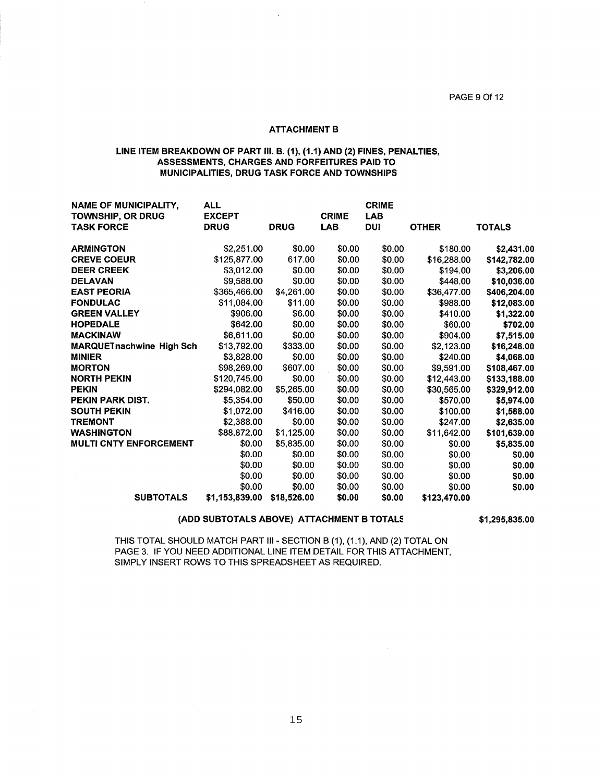PAGE 9 Of 12

#### **ATTACHMENT B**

#### LINE ITEM BREAKDOWN OF PART III. B. (1), (1.1) AND (2) FINES, PENALTIES, ASSESSMENTS, CHARGES AND FORFEITURES PAID TO MUNICIPALITIES, DRUG TASK FORCE AND TOWNSHIPS

 $\ddot{\phantom{a}}$ 

| <b>NAME OF MUNICIPALITY,</b>     | <b>ALL</b>     |             |              | <b>CRIME</b> |              |               |
|----------------------------------|----------------|-------------|--------------|--------------|--------------|---------------|
| <b>TOWNSHIP, OR DRUG</b>         | <b>EXCEPT</b>  |             | <b>CRIME</b> | <b>LAB</b>   |              |               |
| <b>TASK FORCE</b>                | <b>DRUG</b>    | <b>DRUG</b> | <b>LAB</b>   | <b>DUI</b>   | <b>OTHER</b> | <b>TOTALS</b> |
| <b>ARMINGTON</b>                 | \$2,251.00     | \$0.00      | \$0.00       | \$0.00       | \$180.00     | \$2,431.00    |
| <b>CREVE COEUR</b>               | \$125,877.00   | 617.00      | \$0.00       | \$0.00       | \$16,288.00  | \$142,782.00  |
| <b>DEER CREEK</b>                | \$3,012.00     | \$0.00      | \$0.00       | \$0.00       | \$194.00     | \$3,206.00    |
| <b>DELAVAN</b>                   | \$9,588,00     | \$0.00      | \$0.00       | \$0.00       | \$448.00     | \$10,036.00   |
| <b>EAST PEORIA</b>               | \$365,466.00   | \$4,261.00  | \$0.00       | \$0.00       | \$36,477.00  | \$406,204.00  |
| <b>FONDULAC</b>                  | \$11,084.00    | \$11.00     | \$0.00       | \$0.00       | \$988.00     | \$12,083.00   |
| <b>GREEN VALLEY</b>              | \$906.00       | \$6.00      | \$0.00       | \$0.00       | \$410.00     | \$1,322.00    |
| <b>HOPEDALE</b>                  | \$642.00       | \$0.00      | \$0.00       | \$0.00       | \$60.00      | \$702.00      |
| <b>MACKINAW</b>                  | \$6,611.00     | \$0.00      | \$0.00       | \$0.00       | \$904.00     | \$7,515.00    |
| <b>MARQUET nachwine High Sch</b> | \$13,792.00    | \$333.00    | \$0.00       | \$0.00       | \$2,123.00   | \$16,248.00   |
| <b>MINIER</b>                    | \$3,828.00     | \$0.00      | \$0.00       | \$0.00       | \$240.00     | \$4,068.00    |
| <b>MORTON</b>                    | \$98,269.00    | \$607.00    | \$0.00       | \$0.00       | \$9,591.00   | \$108,467.00  |
| <b>NORTH PEKIN</b>               | \$120,745.00   | \$0.00      | \$0.00       | \$0.00       | \$12,443.00  | \$133,188.00  |
| <b>PEKIN</b>                     | \$294,082.00   | \$5,265.00  | \$0.00       | \$0.00       | \$30,565.00  | \$329,912.00  |
| <b>PEKIN PARK DIST.</b>          | \$5,354.00     | \$50.00     | \$0.00       | \$0.00       | \$570.00     | \$5,974.00    |
| <b>SOUTH PEKIN</b>               | \$1,072.00     | \$416.00    | \$0.00       | \$0.00       | \$100.00     | \$1,588.00    |
| <b>TREMONT</b>                   | \$2,388.00     | \$0.00      | \$0.00       | \$0.00       | \$247.00     | \$2,635.00    |
| <b>WASHINGTON</b>                | \$88,872,00    | \$1,125.00  | \$0.00       | \$0.00       | \$11,642.00  | \$101,639.00  |
| <b>MULTI CNTY ENFORCEMENT</b>    | \$0.00         | \$5,835.00  | \$0.00       | \$0.00       | \$0.00       | \$5,835.00    |
|                                  | \$0.00         | \$0.00      | \$0.00       | \$0.00       | \$0.00       | \$0.00        |
|                                  | \$0.00         | \$0.00      | \$0.00       | \$0.00       | \$0.00       | \$0.00        |
|                                  | \$0.00         | \$0.00      | \$0.00       | \$0.00       | \$0.00       | \$0.00        |
|                                  | \$0.00         | \$0.00      | \$0.00       | \$0.00       | \$0.00       | \$0.00        |
| <b>SUBTOTALS</b>                 | \$1,153,839.00 | \$18,526.00 | \$0.00       | \$0.00       | \$123,470.00 |               |

#### (ADD SUBTOTALS ABOVE) ATTACHMENT B TOTALS

\$1,295,835.00

THIS TOTAL SHOULD MATCH PART III - SECTION B (1), (1.1), AND (2) TOTAL ON PAGE 3. IF YOU NEED ADDITIONAL LINE ITEM DETAIL FOR THIS ATTACHMENT, SIMPLY INSERT ROWS TO THIS SPREADSHEET AS REQUIRED.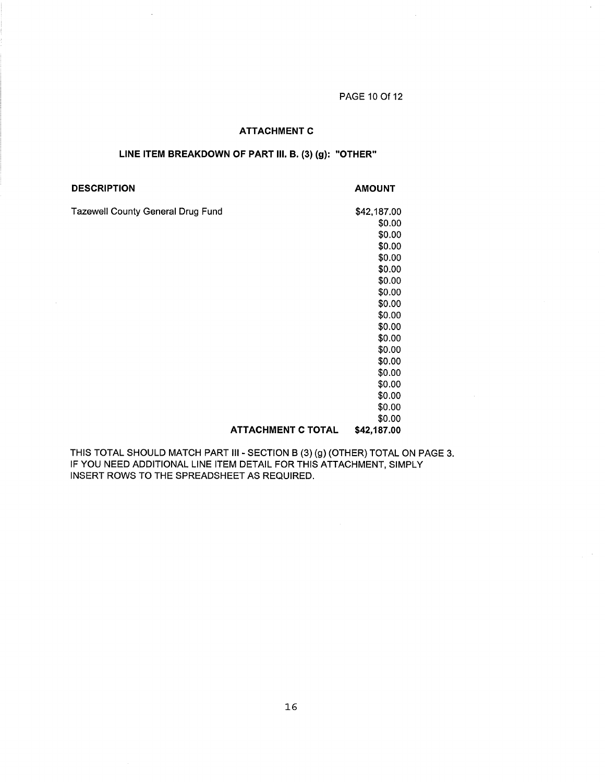#### PAGE 10 Of 12

#### **ATTACHMENT C**

#### LINE ITEM BREAKDOWN OF PART III. B. (3) (g): "OTHER"

#### **DESCRIPTION**

#### **AMOUNT**

**Tazewell County General Drug Fund** 

\$42,187.00  $$0.00$ \$0.00 \$0.00 \$0.00 \$0.00 \$0.00 \$0.00 \$0.00 \$0.00 \$0.00 \$0.00 \$0.00 \$0.00 \$0.00 \$0.00 \$0.00 \$0.00 \$0.00 **ATTACHMENT C TOTAL** \$42,187.00

THIS TOTAL SHOULD MATCH PART III - SECTION B (3) (g) (OTHER) TOTAL ON PAGE 3. IF YOU NEED ADDITIONAL LINE ITEM DETAIL FOR THIS ATTACHMENT, SIMPLY INSERT ROWS TO THE SPREADSHEET AS REQUIRED.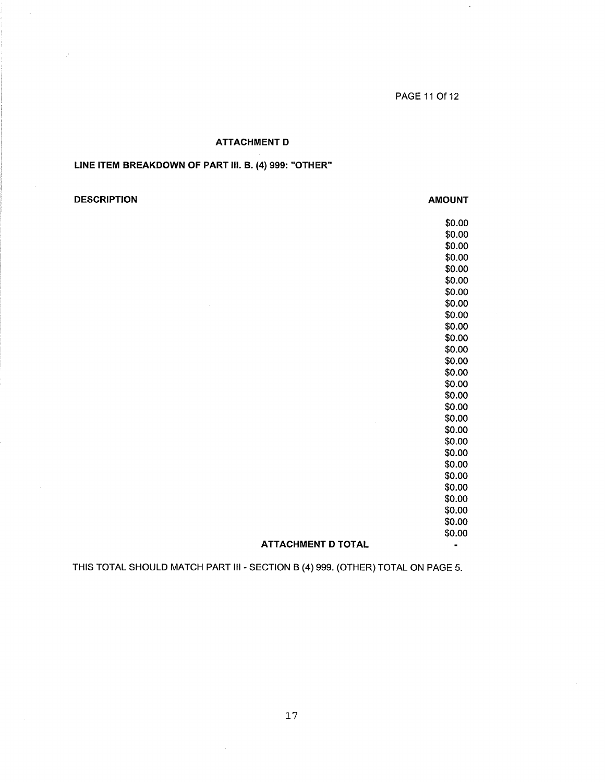PAGE 11 Of 12

### **ATTACHMENT D**

## LINE ITEM BREAKDOWN OF PART III. B. (4) 999: "OTHER"

#### **DESCRIPTION**

**AMOUNT** 

\$0.00 \$0.00 \$0.00 \$0.00  $$0.00$ \$0.00 \$0.00 \$0.00  $$0.00$ \$0.00 \$0.00 \$0.00 \$0.00 \$0.00 \$0.00 \$0.00 \$0.00 \$0.00 \$0.00  $$0.00$ \$0.00 \$0.00 \$0.00 \$0.00 \$0.00 \$0.00 \$0.00 \$0.00  $\blacksquare$ 

# **ATTACHMENT D TOTAL**

THIS TOTAL SHOULD MATCH PART III - SECTION B (4) 999. (OTHER) TOTAL ON PAGE 5.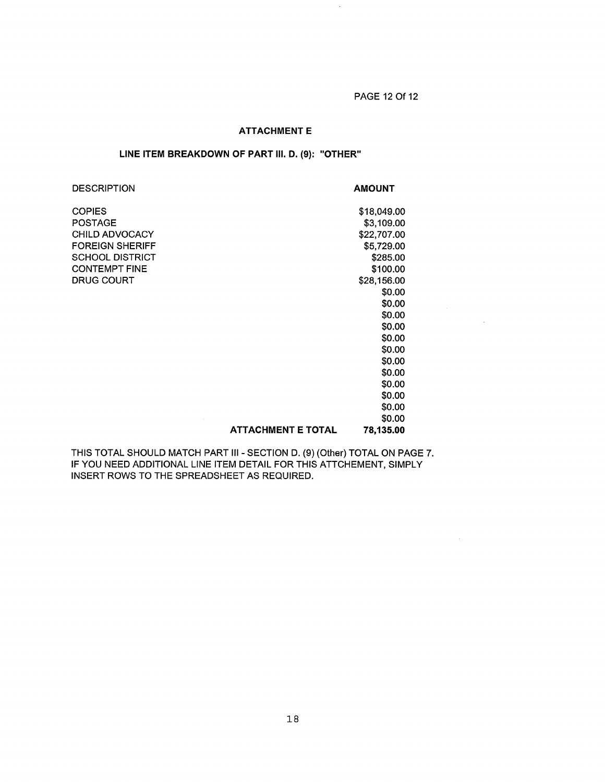#### **ATTACHMENT E**

#### LINE ITEM BREAKDOWN OF PART III. D. (9): "OTHER"

#### **DESCRIPTION**

#### **AMOUNT**

**COPIES POSTAGE** CHILD ADVOCACY **FOREIGN SHERIFF SCHOOL DISTRICT CONTEMPT FINE** DRUG COURT

\$18,049.00 \$3,109.00 \$22,707.00 \$5,729.00 \$285.00 \$100.00 \$28,156.00 \$0.00 \$0.00 \$0.00 \$0.00 \$0.00 \$0.00 \$0.00 \$0.00 \$0.00 \$0.00 \$0.00 \$0.00 78,135.00

 $\lambda$ 

# **ATTACHMENT E TOTAL**

THIS TOTAL SHOULD MATCH PART III - SECTION D. (9) (Other) TOTAL ON PAGE 7. IF YOU NEED ADDITIONAL LINE ITEM DETAIL FOR THIS ATTCHEMENT, SIMPLY INSERT ROWS TO THE SPREADSHEET AS REQUIRED.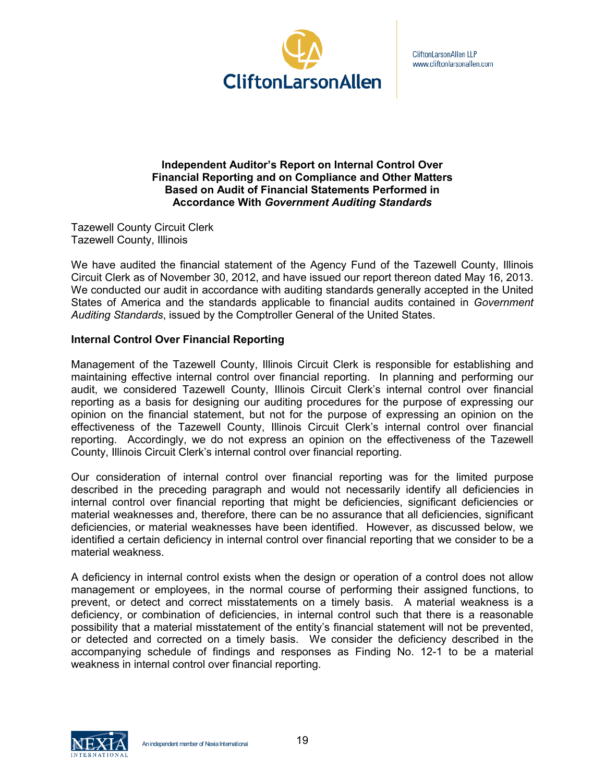

CliftonLarsonAllen LLP www.cliftonlarsonallen.com

**Independent Auditor's Report on Internal Control Over Financial Reporting and on Compliance and Other Matters Based on Audit of Financial Statements Performed in Accordance With** *Government Auditing Standards*

Tazewell County Circuit Clerk Tazewell County, Illinois

We have audited the financial statement of the Agency Fund of the Tazewell County, Illinois Circuit Clerk as of November 30, 2012, and have issued our report thereon dated May 16, 2013. We conducted our audit in accordance with auditing standards generally accepted in the United States of America and the standards applicable to financial audits contained in *Government Auditing Standards*, issued by the Comptroller General of the United States.

# **Internal Control Over Financial Reporting**

Management of the Tazewell County, Illinois Circuit Clerk is responsible for establishing and maintaining effective internal control over financial reporting. In planning and performing our audit, we considered Tazewell County, Illinois Circuit Clerk's internal control over financial reporting as a basis for designing our auditing procedures for the purpose of expressing our opinion on the financial statement, but not for the purpose of expressing an opinion on the effectiveness of the Tazewell County, Illinois Circuit Clerk's internal control over financial reporting. Accordingly, we do not express an opinion on the effectiveness of the Tazewell County, Illinois Circuit Clerk's internal control over financial reporting.

Our consideration of internal control over financial reporting was for the limited purpose described in the preceding paragraph and would not necessarily identify all deficiencies in internal control over financial reporting that might be deficiencies, significant deficiencies or material weaknesses and, therefore, there can be no assurance that all deficiencies, significant deficiencies, or material weaknesses have been identified. However, as discussed below, we identified a certain deficiency in internal control over financial reporting that we consider to be a material weakness.

A deficiency in internal control exists when the design or operation of a control does not allow management or employees, in the normal course of performing their assigned functions, to prevent, or detect and correct misstatements on a timely basis. A material weakness is a deficiency, or combination of deficiencies, in internal control such that there is a reasonable possibility that a material misstatement of the entity's financial statement will not be prevented, or detected and corrected on a timely basis. We consider the deficiency described in the accompanying schedule of findings and responses as Finding No. 12-1 to be a material weakness in internal control over financial reporting.

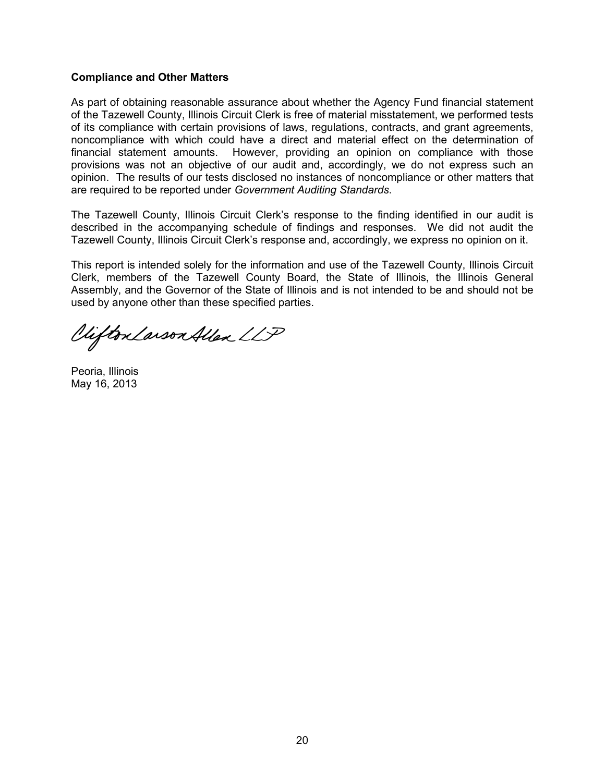# **Compliance and Other Matters**

As part of obtaining reasonable assurance about whether the Agency Fund financial statement of the Tazewell County, Illinois Circuit Clerk is free of material misstatement, we performed tests of its compliance with certain provisions of laws, regulations, contracts, and grant agreements, noncompliance with which could have a direct and material effect on the determination of financial statement amounts. However, providing an opinion on compliance with those provisions was not an objective of our audit and, accordingly, we do not express such an opinion. The results of our tests disclosed no instances of noncompliance or other matters that are required to be reported under *Government Auditing Standards*.

The Tazewell County, Illinois Circuit Clerk's response to the finding identified in our audit is described in the accompanying schedule of findings and responses. We did not audit the Tazewell County, Illinois Circuit Clerk's response and, accordingly, we express no opinion on it.

This report is intended solely for the information and use of the Tazewell County, Illinois Circuit Clerk, members of the Tazewell County Board, the State of Illinois, the Illinois General Assembly, and the Governor of the State of Illinois and is not intended to be and should not be used by anyone other than these specifi ed parties.

Viifton Larson Allen LLP

Peoria, Illinois May 16, 2013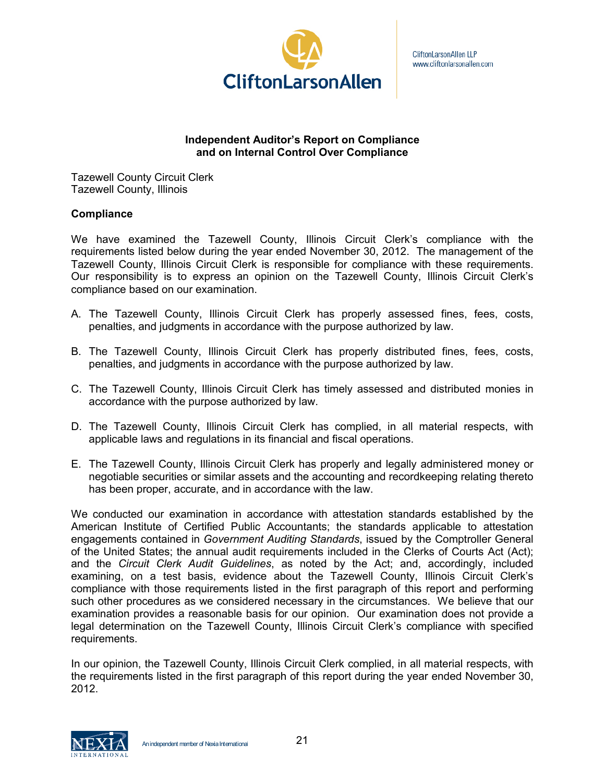

CliftonLarsonAllen LLP www.cliftonlarsonallen.com

# **Independent Auditor's Report on Compliance and on Internal Control Over Compliance**

Tazewell County Circuit Clerk Tazewell County, Illinois

# **Compliance**

We have examined the Tazewell County, Illinois Circuit Clerk's compliance with the requirements listed below during the year ended November 30, 2012. The management of the Tazewell County, Illinois Circuit Clerk is responsible for compliance with these requirements. Our responsibility is to express an opinion on the Tazewell County, Illinois Circuit Clerk's compliance based on our examination.

- A. The Tazewell County, Illinois Circuit Clerk has properly assessed fines, fees, costs, penalties, and judgments in accordance with the purpose authorized by law.
- B. The Tazewell County, Illinois Circuit Clerk has properly distributed fines, fees, costs, penalties, and judgments in accordance with the purpose authorized by law.
- C. The Tazewell County, Illinois Circuit Clerk has timely assessed and distributed monies in accordance with the purpose authorized by law.
- D. The Tazewell County, Illinois Circuit Clerk has complied, in all material respects, with applicable laws and regulations in its financial and fiscal operations.
- E. The Tazewell County, Illinois Circuit Clerk has properly and legally administered money or negotiable securities or similar assets and the accounting and recordkeeping relating thereto has been proper, accurate, and in accordance with the law.

We conducted our examination in accordance with attestation standards established by the American Institute of Certified Public Accountants; the standards applicable to attestation engagements contained in *Government Auditing Standards*, issued by the Comptroller General of the United States; the annual audit requirements included in the Clerks of Courts Act (Act); and the *Circuit Clerk Audit Guidelines*, as noted by the Act; and, accordingly, included examining, on a test basis, evidence about the Tazewell County, Illinois Circuit Clerk's compliance with those requirements listed in the first paragraph of this report and performing such other procedures as we considered necessary in the circumstances. We believe that our examination provides a reasonable basis for our opinion. Our examination does not provide a legal determination on the Tazewell County, Illinois Circuit Clerk's compliance with specified requirements.

In our opinion, the Tazewell County, Illinois Circuit Clerk complied, in all material respects, with the requirements listed in the first paragraph of this report during the year ended November 30, 2012.

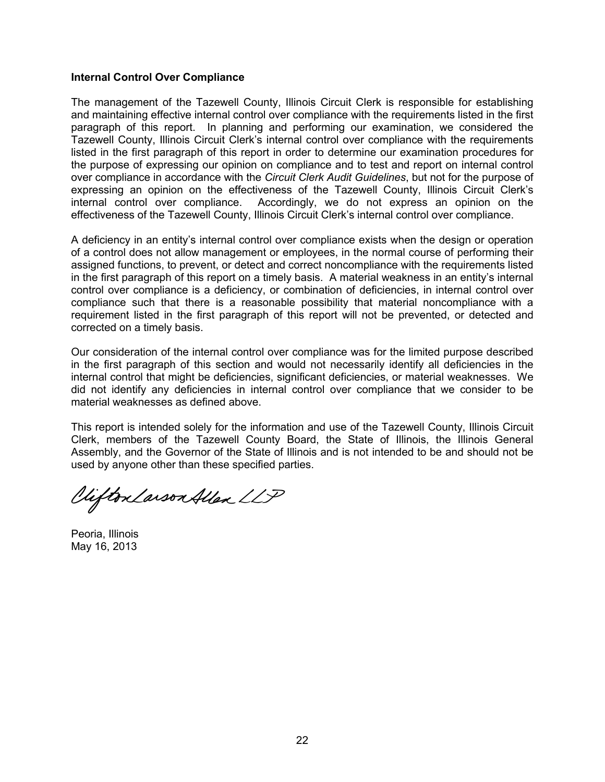# **Internal Control Over Compliance**

The management of the Tazewell County, Illinois Circuit Clerk is responsible for establishing and maintaining effective internal control over compliance with the requirements listed in the first paragraph of this report. In planning and performing our examination, we considered the Tazewell County, Illinois Circuit Clerk's internal control over compliance with the requirements listed in the first paragraph of this report in order to determine our examination procedures for the purpose of expressing our opinion on compliance and to test and report on internal control over compliance in accordance with the *Circuit Clerk Audit Guidelines*, but not for the purpose of expressing an opinion on the effectiveness of the Tazewell County, Illinois Circuit Clerk's internal control over compliance. Accordingly, we do not express an opinion on the effectiveness of the Tazewell County, Illinois Circuit Clerk's internal control over compliance.

A deficiency in an entity's internal control over compliance exists when the design or operation of a control does not allow management or employees, in the normal course of performing their assigned functions, to prevent, or detect and correct noncompliance with the requirements listed in the first paragraph of this report on a timely basis. A material weakness in an entity's internal control over compliance is a deficiency, or combination of deficiencies, in internal control over compliance such that there is a reasonable possibility that material noncompliance with a requirement listed in the first paragraph of this report will not be prevented, or detected and corrected on a timely basis.

Our consideration of the internal control over compliance was for the limited purpose described in the first paragraph of this section and would not necessarily identify all deficiencies in the internal control that might be deficiencies, significant deficiencies, or material weaknesses. We did not identify any deficiencies in internal control over compliance that we consider to be material weaknesses as defined above.

This report is intended solely for the information and use of the Tazewell County, Illinois Circuit Clerk, members of the Tazewell County Board, the State of Illinois, the Illinois General Assembly, and the Governor of the State of Illinois and is not intended to be and should not be used by anyone other than these specified parties.

Viifton Larson Allen LLP

Peoria, Illinois May 16, 2013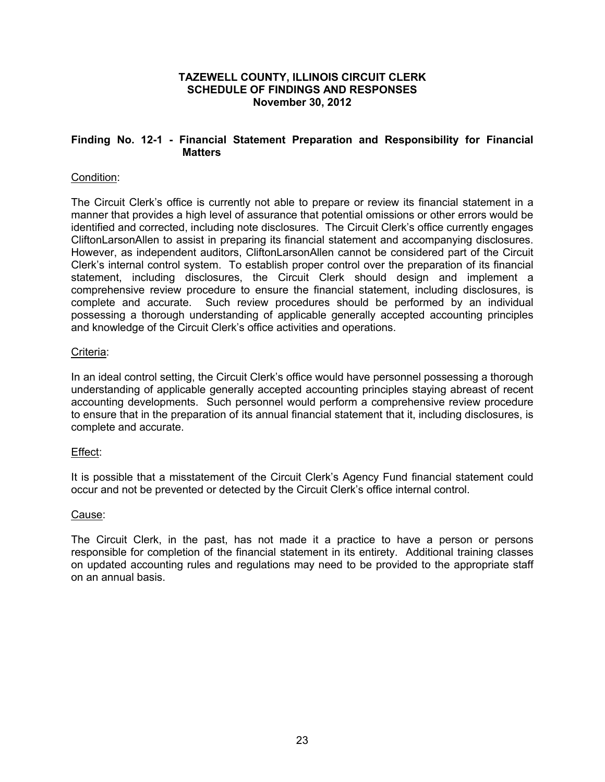# **TAZEWELL COUNTY, ILLINOIS CIRCUIT CLERK SCHEDULE OF FINDINGS AND RESPONSES November 30, 2012**

# **Finding No. 12-1 - Financial Statement Preparation and Responsibility for Financial Matters**

# Condition:

The Circuit Clerk's office is currently not able to prepare or review its financial statement in a manner that provides a high level of assurance that potential omissions or other errors would be identified and corrected, including note disclosures. The Circuit Clerk's office currently engages CliftonLarsonAllen to assist in preparing its financial statement and accompanying disclosures. However, as independent auditors, CliftonLarsonAllen cannot be considered part of the Circuit Clerk's internal control system. To establish proper control over the preparation of its financial statement, including disclosures, the Circuit Clerk should design and implement a comprehensive review procedure to ensure the financial statement, including disclosures, is complete and accurate. Such review procedures should be performed by an individual possessing a thorough understanding of applicable generally accepted accounting principles and knowledge of the Circuit Clerk's office activities and operations.

# Criteria:

In an ideal control setting, the Circuit Clerk's office would have personnel possessing a thorough understanding of applicable generally accepted accounting principles staying abreast of recent accounting developments. Such personnel would perform a comprehensive review procedure to ensure that in the preparation of its annual financial statement that it, including disclosures, is complete and accurate.

# Effect:

It is possible that a misstatement of the Circuit Clerk's Agency Fund financial statement could occur and not be prevented or detected by the Circuit Clerk's office internal control.

# Cause:

The Circuit Clerk, in the past, has not made it a practice to have a person or persons responsible for completion of the financial statement in its entirety. Additional training classes on updated accounting rules and regulations may need to be provided to the appropriate staff on an annual basis.